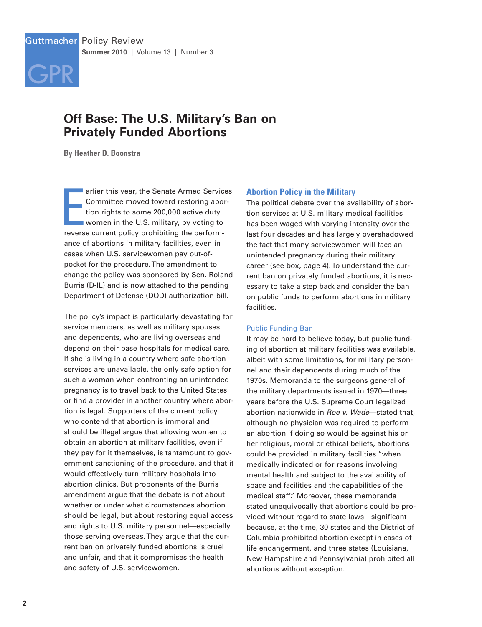# **[GPR](http://www.guttmacher.org) GPR**

# **Off Base: The U.S. Military's Ban on Privately Funded Abortions**

**By Heather D. Boonstra**

arlier this year, the Senate Armed Servic<br>Committee moved toward restoring abo<br>tion rights to some 200,000 active duty<br>women in the U.S. military, by voting to<br>reverse current policy prohibiting the performarlier this year, the Senate Armed Services Committee moved toward restoring abortion rights to some 200,000 active duty women in the U.S. military, by voting to ance of abortions in military facilities, even in cases when U.S. servicewomen pay out-ofpocket for the procedure.The amendment to change the policy was sponsored by Sen. Roland Burris (D-IL) and is now attached to the pending Department of Defense (DOD) authorization bill.

The policy's impact is particularly devastating for service members, as well as military spouses and dependents, who are living overseas and depend on their base hospitals for medical care. If she is living in a country where safe abortion services are unavailable, the only safe option for such a woman when confronting an unintended pregnancy is to travel back to the United States or find a provider in another country where abortion is legal. Supporters of the current policy who contend that abortion is immoral and should be illegal argue that allowing women to obtain an abortion at military facilities, even if they pay for it themselves, is tantamount to government sanctioning of the procedure, and that it would effectively turn military hospitals into abortion clinics. But proponents of the Burris amendment argue that the debate is not about whether or under what circumstances abortion should be legal, but about restoring equal access and rights to U.S. military personnel—especially those serving overseas.They argue that the current ban on privately funded abortions is cruel and unfair, and that it compromises the health and safety of U.S. servicewomen.

# **Abortion Policy in the Military**

The political debate over the availability of abortion services at U.S. military medical facilities has been waged with varying intensity over the last four decades and has largely overshadowed the fact that many servicewomen will face an unintended pregnancy during their military career (see box, page 4).To understand the current ban on privately funded abortions, it is necessary to take a step back and consider the ban on public funds to perform abortions in military facilities.

# Public Funding Ban

It may be hard to believe today, but public funding of abortion at military facilities was available, albeit with some limitations, for military personnel and their dependents during much of the 1970s. Memoranda to the surgeons general of the military departments issued in 1970—three years before the U.S. Supreme Court legalized abortion nationwide in *Roe v. Wade*—stated that, although no physician was required to perform an abortion if doing so would be against his or her religious, moral or ethical beliefs, abortions could be provided in military facilities "when medically indicated or for reasons involving mental health and subject to the availability of space and facilities and the capabilities of the medical staff." Moreover, these memoranda stated unequivocally that abortions could be provided without regard to state laws—significant because, at the time, 30 states and the District of Columbia prohibited abortion except in cases of life endangerment, and three states (Louisiana, New Hampshire and Pennsylvania) prohibited all abortions without exception.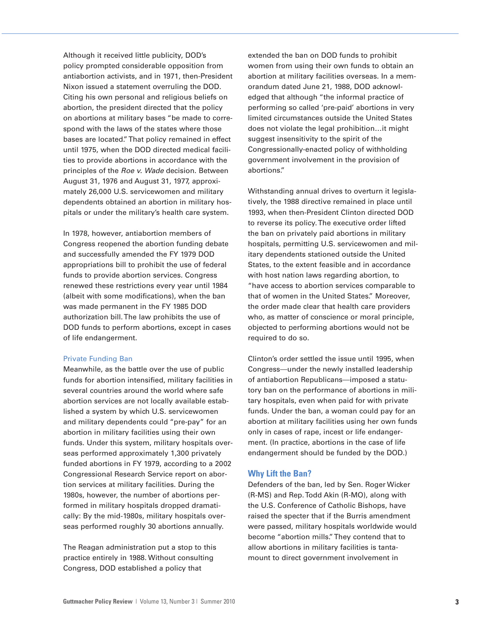Although it received little publicity, DOD's policy prompted considerable opposition from antiabortion activists, and in 1971, then-President Nixon issued a statement overruling the DOD. Citing his own personal and religious beliefs on abortion, the president directed that the policy on abortions at military bases "be made to correspond with the laws of the states where those bases are located."That policy remained in effect until 1975, when the DOD directed medical facilities to provide abortions in accordance with the principles of the *Roe v. Wade* decision. Between August 31, 1976 and August 31, 1977, approximately 26,000 U.S. servicewomen and military dependents obtained an abortion in military hospitals or under the military's health care system.

In 1978, however, antiabortion members of Congress reopened the abortion funding debate and successfully amended the FY 1979 DOD appropriations bill to prohibit the use of federal funds to provide abortion services. Congress renewed these restrictions every year until 1984 (albeit with some modifications), when the ban was made permanent in the FY 1985 DOD authorization bill.The law prohibits the use of DOD funds to perform abortions, except in cases of life endangerment.

#### Private Funding Ban

Meanwhile, as the battle over the use of public funds for abortion intensified, military facilities in several countries around the world where safe abortion services are not locally available established a system by which U.S. servicewomen and military dependents could "pre-pay" for an abortion in military facilities using their own funds. Under this system, military hospitals overseas performed approximately 1,300 privately funded abortions in FY 1979, according to a 2002 Congressional Research Service report on abortion services at military facilities. During the 1980s, however, the number of abortions performed in military hospitals dropped dramatically: By the mid-1980s, military hospitals overseas performed roughly 30 abortions annually.

The Reagan administration put a stop to this practice entirely in 1988. Without consulting Congress, DOD established a policy that

extended the ban on DOD funds to prohibit women from using their own funds to obtain an abortion at military facilities overseas. In a memorandum dated June 21, 1988, DOD acknowledged that although "the informal practice of performing so called 'pre-paid' abortions in very limited circumstances outside the United States does not violate the legal prohibition…it might suggest insensitivity to the spirit of the Congressionally-enacted policy of withholding government involvement in the provision of abortions."

Withstanding annual drives to overturn it legislatively, the 1988 directive remained in place until 1993, when then-President Clinton directed DOD to reverse its policy.The executive order lifted the ban on privately paid abortions in military hospitals, permitting U.S. servicewomen and military dependents stationed outside the United States, to the extent feasible and in accordance with host nation laws regarding abortion, to "have access to abortion services comparable to that of women in the United States." Moreover, the order made clear that health care providers who, as matter of conscience or moral principle, objected to performing abortions would not be required to do so.

Clinton's order settled the issue until 1995, when Congress—under the newly installed leadership of antiabortion Republicans—imposed a statutory ban on the performance of abortions in military hospitals, even when paid for with private funds. Under the ban, a woman could pay for an abortion at military facilities using her own funds only in cases of rape, incest or life endangerment. (In practice, abortions in the case of life endangerment should be funded by the DOD.)

#### **Why Lift the Ban?**

Defenders of the ban, led by Sen. Roger Wicker (R-MS) and Rep.Todd Akin (R-MO), along with the U.S. Conference of Catholic Bishops, have raised the specter that if the Burris amendment were passed, military hospitals worldwide would become "abortion mills."They contend that to allow abortions in military facilities is tantamount to direct government involvement in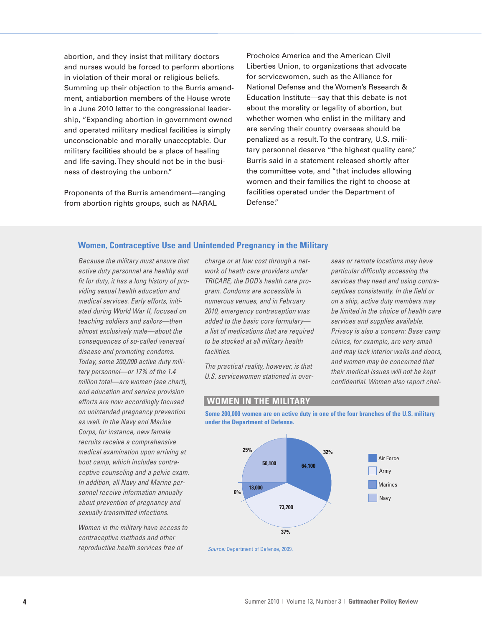abortion, and they insist that military doctors and nurses would be forced to perform abortions in violation of their moral or religious beliefs. Summing up their objection to the Burris amendment, antiabortion members of the House wrote in a June 2010 letter to the congressional leadership, "Expanding abortion in government owned and operated military medical facilities is simply unconscionable and morally unacceptable. Our military facilities should be a place of healing and life-saving.They should not be in the business of destroying the unborn."

Proponents of the Burris amendment—ranging from abortion rights groups, such as NARAL

Prochoice America and the American Civil Liberties Union, to organizations that advocate for servicewomen, such as the Alliance for National Defense and the Women's Research & Education Institute—say that this debate is not about the morality or legality of abortion, but whether women who enlist in the military and are serving their country overseas should be penalized as a result.To the contrary, U.S. military personnel deserve "the highest quality care," Burris said in a statement released shortly after the committee vote, and "that includes allowing women and their families the right to choose at facilities operated under the Department of Defense."

# **Women, Contraceptive Use and Unintended Pregnancy in the Military**

*Because the military must ensure that active duty personnel are healthy and fit for duty, it has a long history of providing sexual health education and medical services. Early efforts, initiated during World War II, focused on teaching soldiers and sailors—then almost exclusively male—about the consequences of so-called venereal disease and promoting condoms. Today, some 200,000 active duty military personnel—or 17% of the 1.4 million total—are women (see chart), and education and service provision efforts are now accordingly focused on unintended pregnancy prevention as well. In the Navy and Marine Corps, for instance, new female recruits receive a comprehensive medical examination upon arriving at boot camp, which includes contraceptive counseling and a pelvic exam. In addition, all Navy and Marine personnel receive information annually about prevention of pregnancy and sexually transmitted infections.*

*Women in the military have access to contraceptive methods and other reproductive health services free of*

*charge or at low cost through a network of heath care providers under TRICARE, the DOD's health care program. Condoms are accessible in numerous venues, and in February 2010, emergency contraception was added to the basic core formulary a list of medications that are required to be stocked at all military health facilities.*

*The practical reality, however, is that U.S. servicewomen stationed in over-* *seas or remote locations may have particular difficulty accessing the services they need and using contraceptives consistently. In the field or on a ship, active duty members may be limited in the choice of health care services and supplies available. Privacy is also a concern: Base camp clinics, for example, are very small and may lack interior walls and doors, and women may be concerned that their medical issues will not be kept confidential. Women also report chal-*

# **WOMEN IN THE MILITARY**

**Some 200,000 women are on active duty in one of the four branches of the U.S. military under the Department of Defense.**



*Source:* Department of Defense, 2009.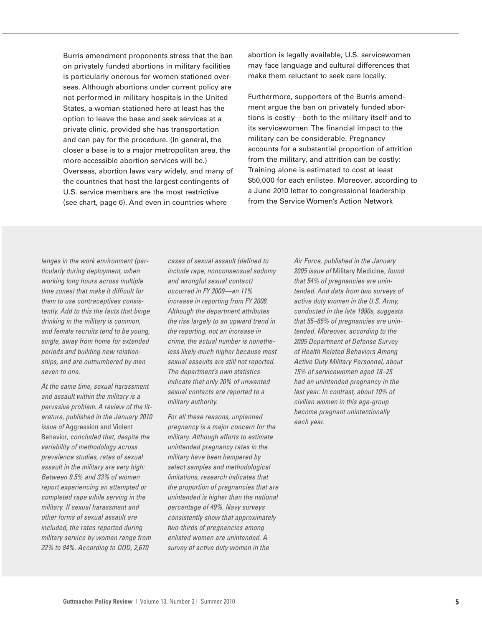Burris amendment proponents stress that the ban on privately funded abortions in military facilities is particularly onerous for women stationed overseas. Although abortions under current policy are not performed in military hospitals in the United States, a woman stationed here at least has the option to leave the base and seek services at a private clinic, provided she has transportation and can pay for the procedure. (In general, the closer a base is to a major metropolitan area, the more accessible abortion services will be.) Overseas, abortion laws vary widely, and many of the countries that host the largest contingents of U.S. service members are the most restrictive (see chart, page 6). And even in countries where

abortion is legally available, U.S. servicewomen may face language and cultural differences that make them reluctant to seek care locally.

Furthermore, supporters of the Burris amendment argue the ban on privately funded abortions is costly—both to the military itself and to its servicewomen.The financial impact to the military can be considerable. Pregnancy accounts for a substantial proportion of attrition from the military, and attrition can be costly: Training alone is estimated to cost at least \$50,000 for each enlistee. Moreover, according to a June 2010 letter to congressional leadership from the Service Women's Action Network

*lenges in the work environment (particularly during deployment, when working long hours across multiple time zones) that make it difficult for them to use contraceptives consistently. Add to this the facts that binge drinking in the military is common, and female recruits tend to be young, single, away from home for extended periods and building new relationships, and are outnumbered by men seven to one.*

*At the same time, sexual harassment and assault within the military is a pervasive problem. A review of the literature, published in the January 2010 issue of* Aggression and Violent Behavior, *concluded that, despite the variability of methodology across prevalence studies, rates of sexual assault in the military are very high: Between 9.5% and 33% of women report experiencing an attempted or completed rape while serving in the military. If sexual harassment and other forms of sexual assault are included, the rates reported during military service by women range from 22% to 84%. According to DOD, 2,670*

*cases of sexual assault (defined to include rape, nonconsensual sodomy and wrongful sexual contact) occurred in FY 2009—an 11% increase in reporting from FY 2008. Although the department attributes the rise largely to an upward trend in the reporting, not an increase in crime, the actual number is nonetheless likely much higher because most sexual assaults are still not reported. The department's own statistics indicate that only 20% of unwanted sexual contacts are reported to a military authority.*

*For all these reasons, unplanned pregnancy is a major concern for the military. Although efforts to estimate unintended pregnancy rates in the military have been hampered by select samples and methodological limitations, research indicates that the proportion of pregnancies that are unintended is higher than the national percentage of 49%. Navy surveys consistently show that approximately two-thirds of pregnancies among enlisted women are unintended. A survey of active duty women in the*

*Air Force, published in the January 2005 issue of* Military Medicine, *found that 54% of pregnancies are unintended. And data from two surveys of active duty women in the U.S. Army, conducted in the late 1990s, suggests that 55–65% of pregnancies are unintended. Moreover, according to the 2005 Department of Defense Survey of Health Related Behaviors Among Active Duty Military Personnel, about 15% of servicewomen aged 18–25 had an unintended pregnancy in the last year. In contrast, about 10% of civilian women in this age-group become pregnant unintentionally each year.*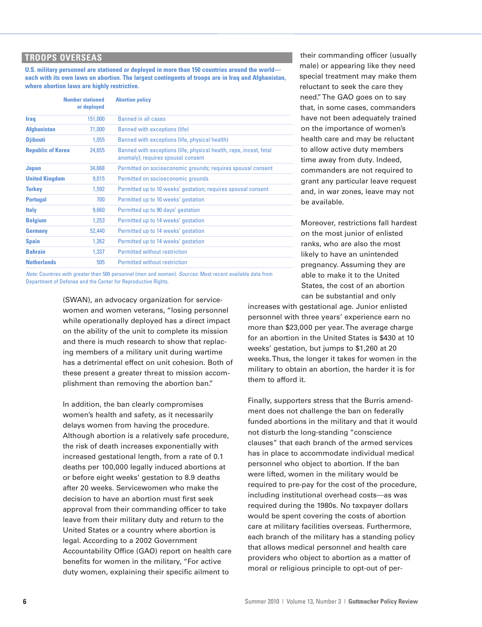# **TROOPS OVERSEAS**

**U.S. military personnel are stationed or deployed in more than 150 countries around the world each with its own laws on abortion. The largest contingents of troops are in Iraq and Afghanistan, where abortion laws are highly restrictive.**

|                          | <b>Number stationed</b><br>or deployed | <b>Abortion policy</b>                                                                                   |
|--------------------------|----------------------------------------|----------------------------------------------------------------------------------------------------------|
| <b>Iraq</b>              | 151,000                                | <b>Banned in all cases</b>                                                                               |
| <b>Afghanistan</b>       | 71,000                                 | <b>Banned with exceptions (life)</b>                                                                     |
| <b>Djibouti</b>          | 1.055                                  | Banned with exceptions (life, physical health)                                                           |
| <b>Republic of Korea</b> | 24,655                                 | Banned with exceptions (life, physical health, rape, incest, fetal<br>anomaly); requires spousal consent |
| <b>Japan</b>             | 34,668                                 | Permitted on socioeconomic grounds; requires spousal consent                                             |
| <b>United Kingdom</b>    | 9,015                                  | Permitted on socioeconomic grounds                                                                       |
| <b>Turkey</b>            | 1.592                                  | Permitted up to 10 weeks' gestation; requires spousal consent                                            |
| <b>Portugal</b>          | 700                                    | Permitted up to 10 weeks' gestation                                                                      |
| <b>Italy</b>             | 9,660                                  | Permitted up to 90 days' gestation                                                                       |
| <b>Belgium</b>           | 1,253                                  | Permitted up to 14 weeks' gestation                                                                      |
| Germany                  | 52,440                                 | Permitted up to 14 weeks' gestation                                                                      |
| <b>Spain</b>             | 1,262                                  | Permitted up to 14 weeks' gestation                                                                      |
| <b>Bahrain</b>           | 1.337                                  | Permitted without restriction                                                                            |
| <b>Netherlands</b>       | 505                                    | Permitted without restriction                                                                            |

*Note:* Countries with greater than 500 personnel (men and women). *Sources:* Most recent available data from Department of Defense and the Center for Reproductive Rights.

> (SWAN), an advocacy organization for servicewomen and women veterans, "losing personnel while operationally deployed has a direct impact on the ability of the unit to complete its mission and there is much research to show that replacing members of a military unit during wartime has a detrimental effect on unit cohesion. Both of these present a greater threat to mission accomplishment than removing the abortion ban."

In addition, the ban clearly compromises women's health and safety, as it necessarily delays women from having the procedure. Although abortion is a relatively safe procedure, the risk of death increases exponentially with increased gestational length, from a rate of 0.1 deaths per 100,000 legally induced abortions at or before eight weeks' gestation to 8.9 deaths after 20 weeks. Servicewomen who make the decision to have an abortion must first seek approval from their commanding officer to take leave from their military duty and return to the United States or a country where abortion is legal. According to a 2002 Government Accountability Office (GAO) report on health care benefits for women in the military, "For active duty women, explaining their specific ailment to

their commanding officer (usually male) or appearing like they need special treatment may make them reluctant to seek the care they need."The GAO goes on to say that, in some cases, commanders have not been adequately trained on the importance of women's health care and may be reluctant to allow active duty members time away from duty. Indeed, commanders are not required to grant any particular leave request and, in war zones, leave may not be available.

Moreover, restrictions fall hardest on the most junior of enlisted ranks, who are also the most likely to have an unintended pregnancy. Assuming they are able to make it to the United States, the cost of an abortion can be substantial and only

increases with gestational age. Junior enlisted personnel with three years' experience earn no more than \$23,000 per year.The average charge for an abortion in the United States is \$430 at 10 weeks' gestation, but jumps to \$1,260 at 20 weeks.Thus, the longer it takes for women in the military to obtain an abortion, the harder it is for them to afford it.

Finally, supporters stress that the Burris amendment does not challenge the ban on federally funded abortions in the military and that it would not disturb the long-standing "conscience clauses" that each branch of the armed services has in place to accommodate individual medical personnel who object to abortion. If the ban were lifted, women in the military would be required to pre-pay for the cost of the procedure, including institutional overhead costs—as was required during the 1980s. No taxpayer dollars would be spent covering the costs of abortion care at military facilities overseas. Furthermore, each branch of the military has a standing policy that allows medical personnel and health care providers who object to abortion as a matter of moral or religious principle to opt-out of per